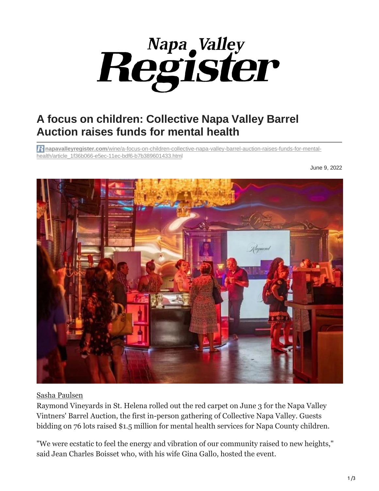

## **A focus on children: Collective Napa Valley Barrel Auction raises funds for mental health**

**napavalleyregister.com**[/wine/a-focus-on-children-collective-napa-valley-barrel-auction-raises-funds-for-mental](https://napavalleyregister.com/wine/a-focus-on-children-collective-napa-valley-barrel-auction-raises-funds-for-mental-health/article_1f36b066-e5ec-11ec-bdf6-b7b389601433.html?utm_source=napavalleyregister.com&utm_campaign=%252Fnewsletter-templates%252Flocal%252Fwine&utm_medium=PostUp&utm_content=05290b75fa0fa9df1440a20d7c83b70718f22e50)[health/article\\_1f36b066-e5ec-11ec-bdf6-b7b389601433.html](https://napavalleyregister.com/wine/a-focus-on-children-collective-napa-valley-barrel-auction-raises-funds-for-mental-health/article_1f36b066-e5ec-11ec-bdf6-b7b389601433.html?utm_source=napavalleyregister.com&utm_campaign=%252Fnewsletter-templates%252Flocal%252Fwine&utm_medium=PostUp&utm_content=05290b75fa0fa9df1440a20d7c83b70718f22e50)

June 9, 2022



## [Sasha Paulsen](https://napavalleyregister.com/users/profile/Sasha%20Paulsen)

Raymond Vineyards in St. Helena rolled out the red carpet on June 3 for the Napa Valley Vintners' Barrel Auction, the first in-person gathering of Collective Napa Valley. Guests bidding on 76 lots raised \$1.5 million for mental health services for Napa County children.

"We were ecstatic to feel the energy and vibration of our community raised to new heights," said Jean Charles Boisset who, with his wife Gina Gallo, hosted the event.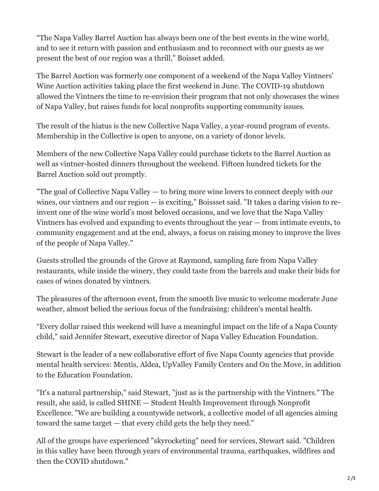"The Napa Valley Barrel Auction has always been one of the best events in the wine world, and to see it return with passion and enthusiasm and to reconnect with our guests as we present the best of our region was a thrill," Boisset added.

The Barrel Auction was formerly one component of a weekend of the Napa Valley Vintners' Wine Auction activities taking place the first weekend in June. The COVID-19 shutdown allowed the Vintners the time to re-envision their program that not only showcases the wines of Napa Valley, but raises funds for local nonprofits supporting community issues.

The result of the hiatus is the new Collective Napa Valley, a year-round program of events. Membership in the Collective is open to anyone, on a variety of donor levels.

Members of the new Collective Napa Valley could purchase tickets to the Barrel Auction as well as vintner-hosted dinners throughout the weekend. Fifteen hundred tickets for the Barrel Auction sold out promptly.

"The goal of Collective Napa Valley — to bring more wine lovers to connect deeply with our wines, our vintners and our region — is exciting," Boissset said. "It takes a daring vision to reinvent one of the wine world's most beloved occasions, and we love that the Napa Valley Vintners has evolved and expanding to events throughout the year — from intimate events, to community engagement and at the end, always, a focus on raising money to improve the lives of the people of Napa Valley."

Guests strolled the grounds of the Grove at Raymond, sampling fare from Napa Valley restaurants, while inside the winery, they could taste from the barrels and make their bids for cases of wines donated by vintners.

The pleasures of the afternoon event, from the smooth live music to welcome moderate June weather, almost belied the serious focus of the fundraising: children's mental health.

"Every dollar raised this weekend will have a meaningful impact on the life of a Napa County child," said Jennifer Stewart, executive director of Napa Valley Education Foundation.

Stewart is the leader of a new collaborative effort of five Napa County agencies that provide mental health services: Mentis, Aldea, UpValley Family Centers and On the Move, in addition to the Education Foundation.

"It's a natural partnership," said Stewart, "just as is the partnership with the Vintners." The result, she said, is called SHINE — Student Health Improvement through Nonprofit Excellence. "We are building a countywide network, a collective model of all agencies aiming toward the same target — that every child gets the help they need."

All of the groups have experienced "skyrocketing" need for services, Stewart said. "Children in this valley have been through years of environmental trauma, earthquakes, wildfires and then the COVID shutdown."